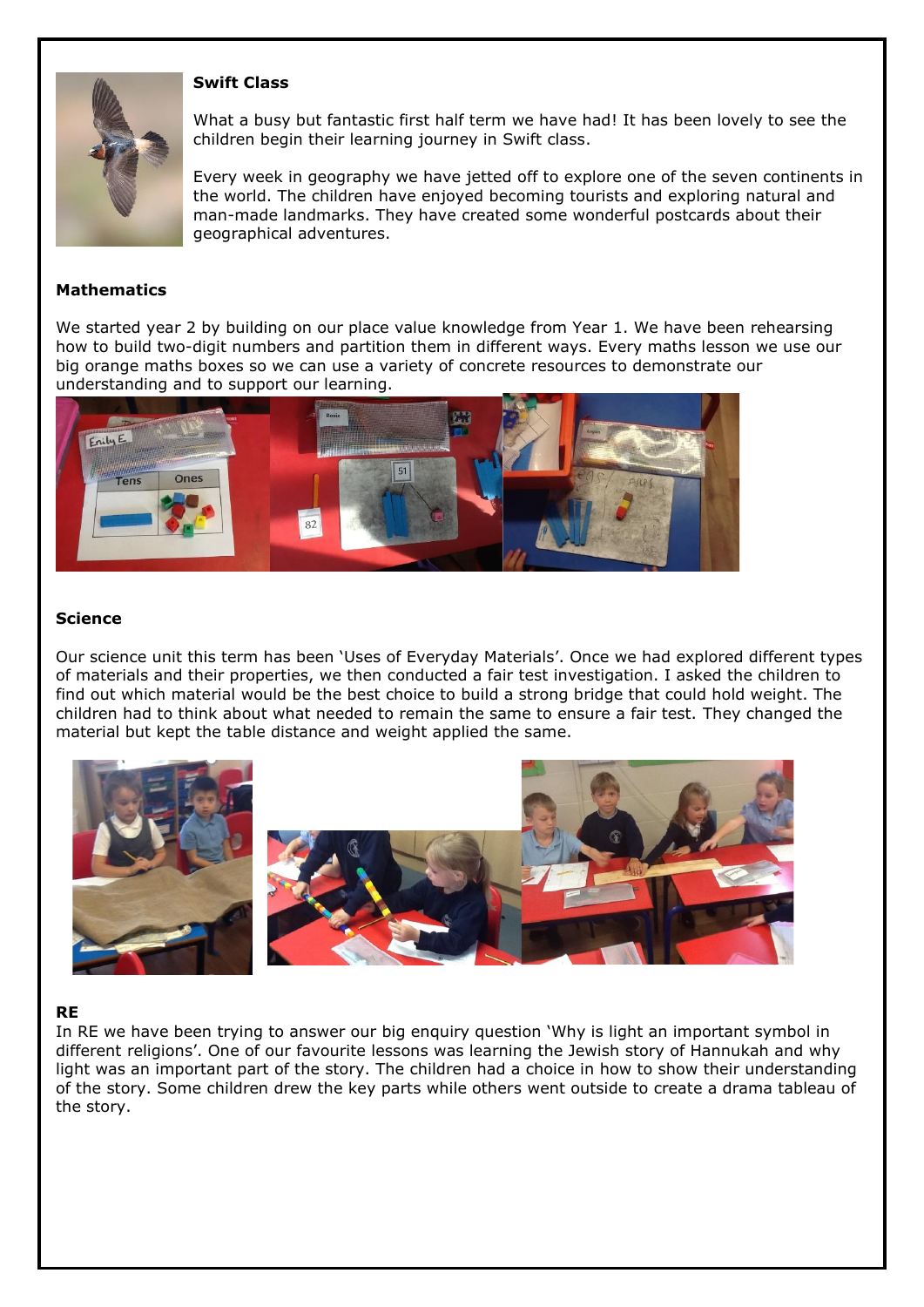

#### **Swift Class**

What a busy but fantastic first half term we have had! It has been lovely to see the children begin their learning journey in Swift class.

Every week in geography we have jetted off to explore one of the seven continents in the world. The children have enjoyed becoming tourists and exploring natural and man-made landmarks. They have created some wonderful postcards about their geographical adventures.

## **Mathematics**

We started year 2 by building on our place value knowledge from Year 1. We have been rehearsing how to build two-digit numbers and partition them in different ways. Every maths lesson we use our big orange maths boxes so we can use a variety of concrete resources to demonstrate our understanding and to support our learning.



## **Science**

Our science unit this term has been 'Uses of Everyday Materials'. Once we had explored different types of materials and their properties, we then conducted a fair test investigation. I asked the children to find out which material would be the best choice to build a strong bridge that could hold weight. The children had to think about what needed to remain the same to ensure a fair test. They changed the material but kept the table distance and weight applied the same.



## **RE**

In RE we have been trying to answer our big enquiry question 'Why is light an important symbol in different religions'. One of our favourite lessons was learning the Jewish story of Hannukah and why light was an important part of the story. The children had a choice in how to show their understanding of the story. Some children drew the key parts while others went outside to create a drama tableau of the story.